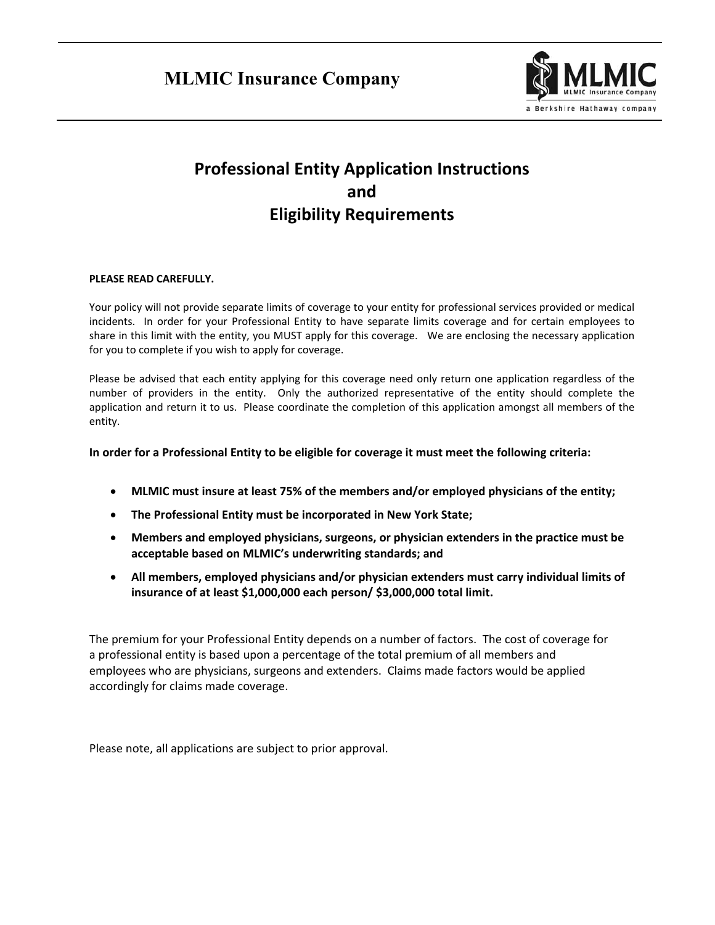

# **Professional Entity Application Instructions and Eligibility Requirements**

# **PLEASE READ CAREFULLY.**

Your policy will not provide separate limits of coverage to your entity for professional services provided or medical incidents. In order for your Professional Entity to have separate limits coverage and for certain employees to share in this limit with the entity, you MUST apply for this coverage. We are enclosing the necessary application for you to complete if you wish to apply for coverage.

Please be advised that each entity applying for this coverage need only return one application regardless of the number of providers in the entity. Only the authorized representative of the entity should complete the application and return it to us. Please coordinate the completion of this application amongst all members of the entity.

# **In order for a Professional Entity to be eligible for coverage it must meet the following criteria:**

- **MLMIC must insure at least 75% of the members and/or employed physicians of the entity;**
- **The Professional Entity must be incorporated in New York State;**
- **Members and employed physicians, surgeons, or physician extenders in the practice must be acceptable based on MLMIC's underwriting standards; and**
- **All members, employed physicians and/or physician extenders must carry individual limits of insurance of at least \$1,000,000 each person/ \$3,000,000 total limit.**

The premium for your Professional Entity depends on a number of factors. The cost of coverage for a professional entity is based upon a percentage of the total premium of all members and employees who are physicians, surgeons and extenders. Claims made factors would be applied accordingly for claims made coverage.

Please note, all applications are subject to prior approval.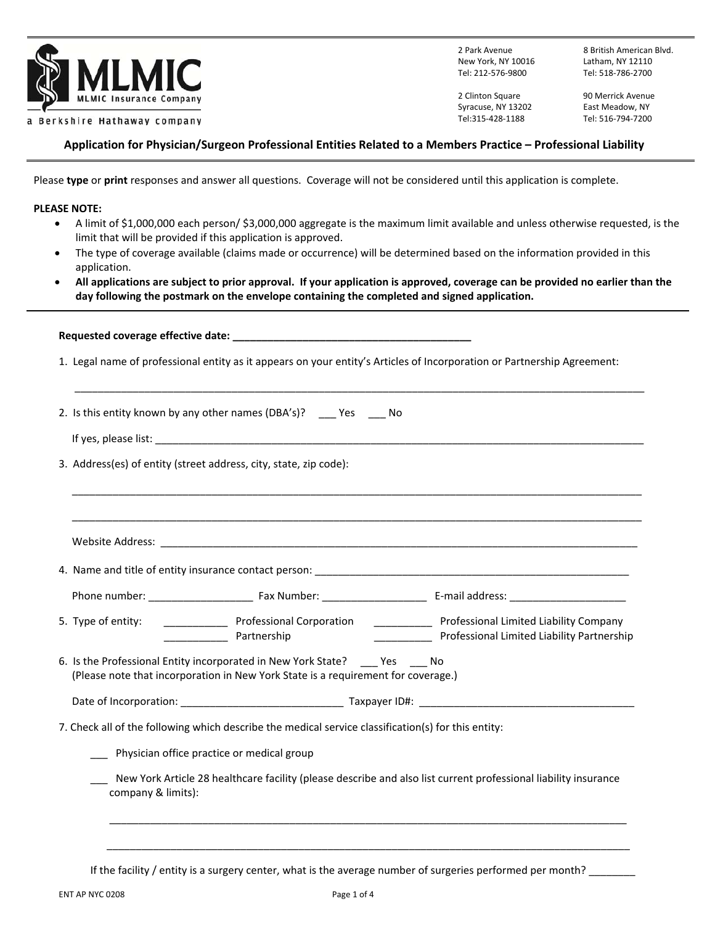

New York, NY 10016 Latham, NY 12110 Tel: 212‐576‐9800 Tel: 518‐786‐2700

2 Park Avenue 8 British American Blvd.

2 Clinton Square **90 Merrick Avenue** Syracuse, NY 13202 East Meadow, NY Tel:315‐428‐1188 Tel: 516‐794‐7200

# **Application for Physician/Surgeon Professional Entities Related to a Members Practice – Professional Liability**

Please **type** or **print** responses and answer all questions. Coverage will not be considered until this application is complete.

#### **PLEASE NOTE:**

- A limit of \$1,000,000 each person/ \$3,000,000 aggregate is the maximum limit available and unless otherwise requested, is the limit that will be provided if this application is approved.
- The type of coverage available (claims made or occurrence) will be determined based on the information provided in this application.
- **All applications are subject to prior approval. If your application is approved, coverage can be provided no earlier than the day following the postmark on the envelope containing the completed and signed application.**

| 1. Legal name of professional entity as it appears on your entity's Articles of Incorporation or Partnership Agreement:                                                                                                                                                                                                                                                                                                                                                      |
|------------------------------------------------------------------------------------------------------------------------------------------------------------------------------------------------------------------------------------------------------------------------------------------------------------------------------------------------------------------------------------------------------------------------------------------------------------------------------|
|                                                                                                                                                                                                                                                                                                                                                                                                                                                                              |
|                                                                                                                                                                                                                                                                                                                                                                                                                                                                              |
|                                                                                                                                                                                                                                                                                                                                                                                                                                                                              |
|                                                                                                                                                                                                                                                                                                                                                                                                                                                                              |
|                                                                                                                                                                                                                                                                                                                                                                                                                                                                              |
|                                                                                                                                                                                                                                                                                                                                                                                                                                                                              |
| Professional Corporation _________________ Professional Limited Liability Company<br>________________ Professional Limited Liability Partnership                                                                                                                                                                                                                                                                                                                             |
|                                                                                                                                                                                                                                                                                                                                                                                                                                                                              |
|                                                                                                                                                                                                                                                                                                                                                                                                                                                                              |
|                                                                                                                                                                                                                                                                                                                                                                                                                                                                              |
|                                                                                                                                                                                                                                                                                                                                                                                                                                                                              |
| New York Article 28 healthcare facility (please describe and also list current professional liability insurance                                                                                                                                                                                                                                                                                                                                                              |
| 2. Is this entity known by any other names (DBA's)? _____ Yes _____ No<br>3. Address(es) of entity (street address, city, state, zip code):<br>Partnership<br>6. Is the Professional Entity incorporated in New York State? Yes No<br>(Please note that incorporation in New York State is a requirement for coverage.)<br>7. Check all of the following which describe the medical service classification(s) for this entity:<br>Physician office practice or medical group |

If the facility / entity is a surgery center, what is the average number of surgeries performed per month?

 $\overline{\phantom{a}}$  ,  $\overline{\phantom{a}}$  ,  $\overline{\phantom{a}}$  ,  $\overline{\phantom{a}}$  ,  $\overline{\phantom{a}}$  ,  $\overline{\phantom{a}}$  ,  $\overline{\phantom{a}}$  ,  $\overline{\phantom{a}}$  ,  $\overline{\phantom{a}}$  ,  $\overline{\phantom{a}}$  ,  $\overline{\phantom{a}}$  ,  $\overline{\phantom{a}}$  ,  $\overline{\phantom{a}}$  ,  $\overline{\phantom{a}}$  ,  $\overline{\phantom{a}}$  ,  $\overline{\phantom{a}}$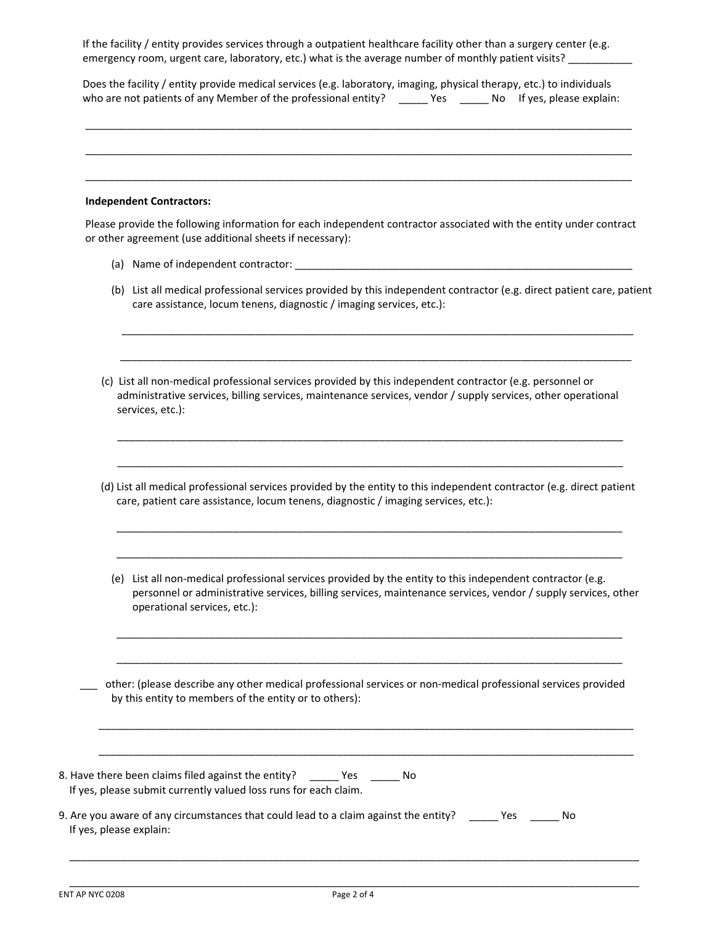If the facility / entity provides services through a outpatient healthcare facility other than a surgery center (e.g. emergency room, urgent care, laboratory, etc.) what is the average number of monthly patient visits?

 Does the facility / entity provide medical services (e.g. laboratory, imaging, physical therapy, etc.) to individuals who are not patients of any Member of the professional entity? \_\_\_\_\_\_ Yes \_\_\_\_\_\_ No If yes, please explain:

\_\_\_\_\_\_\_\_\_\_\_\_\_\_\_\_\_\_\_\_\_\_\_\_\_\_\_\_\_\_\_\_\_\_\_\_\_\_\_\_\_\_\_\_\_\_\_\_\_\_\_\_\_\_\_\_\_\_\_\_\_\_\_\_\_\_\_\_\_\_\_\_\_\_\_\_\_\_\_\_\_\_\_\_\_\_\_\_\_\_\_\_\_\_

\_\_\_\_\_\_\_\_\_\_\_\_\_\_\_\_\_\_\_\_\_\_\_\_\_\_\_\_\_\_\_\_\_\_\_\_\_\_\_\_\_\_\_\_\_\_\_\_\_\_\_\_\_\_\_\_\_\_\_\_\_\_\_\_\_\_\_\_\_\_\_\_\_\_\_\_\_\_\_\_\_\_\_\_\_\_\_\_\_\_\_\_\_\_

 $\overline{\phantom{a}}$  , and the contribution of the contribution of the contribution of the contribution of the contribution of the contribution of the contribution of the contribution of the contribution of the contribution of the

#### **Independent Contractors:**

 Please provide the following information for each independent contractor associated with the entity under contract or other agreement (use additional sheets if necessary):

- (a) Name of independent contractor:
- (b) List all medical professional services provided by this independent contractor (e.g. direct patient care, patient care assistance, locum tenens, diagnostic / imaging services, etc.):

\_\_\_\_\_\_\_\_\_\_\_\_\_\_\_\_\_\_\_\_\_\_\_\_\_\_\_\_\_\_\_\_\_\_\_\_\_\_\_\_\_\_\_\_\_\_\_\_\_\_\_\_\_\_\_\_\_\_\_\_\_\_\_\_\_\_\_\_\_\_\_\_\_\_\_\_\_\_\_\_\_\_\_\_\_\_\_\_

 (c) List all non‐medical professional services provided by this independent contractor (e.g. personnel or administrative services, billing services, maintenance services, vendor / supply services, other operational services, etc.):

\_\_\_\_\_\_\_\_\_\_\_\_\_\_\_\_\_\_\_\_\_\_\_\_\_\_\_\_\_\_\_\_\_\_\_\_\_\_\_\_\_\_\_\_\_\_\_\_\_\_\_\_\_\_\_\_\_\_\_\_\_\_\_\_\_\_\_\_\_\_\_\_\_\_\_\_\_\_\_\_\_\_\_\_\_\_\_\_

 $\overline{\phantom{a}}$  ,  $\overline{\phantom{a}}$  ,  $\overline{\phantom{a}}$  ,  $\overline{\phantom{a}}$  ,  $\overline{\phantom{a}}$  ,  $\overline{\phantom{a}}$  ,  $\overline{\phantom{a}}$  ,  $\overline{\phantom{a}}$  ,  $\overline{\phantom{a}}$  ,  $\overline{\phantom{a}}$  ,  $\overline{\phantom{a}}$  ,  $\overline{\phantom{a}}$  ,  $\overline{\phantom{a}}$  ,  $\overline{\phantom{a}}$  ,  $\overline{\phantom{a}}$  ,  $\overline{\phantom{a}}$ 

 $\overline{\phantom{a}}$  ,  $\overline{\phantom{a}}$  ,  $\overline{\phantom{a}}$  ,  $\overline{\phantom{a}}$  ,  $\overline{\phantom{a}}$  ,  $\overline{\phantom{a}}$  ,  $\overline{\phantom{a}}$  ,  $\overline{\phantom{a}}$  ,  $\overline{\phantom{a}}$  ,  $\overline{\phantom{a}}$  ,  $\overline{\phantom{a}}$  ,  $\overline{\phantom{a}}$  ,  $\overline{\phantom{a}}$  ,  $\overline{\phantom{a}}$  ,  $\overline{\phantom{a}}$  ,  $\overline{\phantom{a}}$ 

(d) List all medical professional services provided by the entity to this independent contractor (e.g. direct patient care, patient care assistance, locum tenens, diagnostic / imaging services, etc.):

\_\_\_\_\_\_\_\_\_\_\_\_\_\_\_\_\_\_\_\_\_\_\_\_\_\_\_\_\_\_\_\_\_\_\_\_\_\_\_\_\_\_\_\_\_\_\_\_\_\_\_\_\_\_\_\_\_\_\_\_\_\_\_\_\_\_\_\_\_\_\_\_\_\_\_\_\_\_\_\_\_\_\_\_\_\_\_

\_\_\_\_\_\_\_\_\_\_\_\_\_\_\_\_\_\_\_\_\_\_\_\_\_\_\_\_\_\_\_\_\_\_\_\_\_\_\_\_\_\_\_\_\_\_\_\_\_\_\_\_\_\_\_\_\_\_\_\_\_\_\_\_\_\_\_\_\_\_\_\_\_\_\_\_\_\_\_\_\_\_\_\_\_\_\_

(e) List all non‐medical professional services provided by the entity to this independent contractor (e.g. personnel or administrative services, billing services, maintenance services, vendor / supply services, other operational services, etc.):

\_\_\_\_\_\_\_\_\_\_\_\_\_\_\_\_\_\_\_\_\_\_\_\_\_\_\_\_\_\_\_\_\_\_\_\_\_\_\_\_\_\_\_\_\_\_\_\_\_\_\_\_\_\_\_\_\_\_\_\_\_\_\_\_\_\_\_\_\_\_\_\_\_\_\_\_\_\_\_\_\_\_\_\_\_\_\_

\_\_\_\_\_\_\_\_\_\_\_\_\_\_\_\_\_\_\_\_\_\_\_\_\_\_\_\_\_\_\_\_\_\_\_\_\_\_\_\_\_\_\_\_\_\_\_\_\_\_\_\_\_\_\_\_\_\_\_\_\_\_\_\_\_\_\_\_\_\_\_\_\_\_\_\_\_\_\_\_\_\_\_\_\_\_\_

 \_\_\_ other: (please describe any other medical professional services or non‐medical professional services provided by this entity to members of the entity or to others):

 $\_$  ,  $\_$  ,  $\_$  ,  $\_$  ,  $\_$  ,  $\_$  ,  $\_$  ,  $\_$  ,  $\_$  ,  $\_$  ,  $\_$  ,  $\_$  ,  $\_$  ,  $\_$  ,  $\_$  ,  $\_$  ,  $\_$  ,  $\_$  ,  $\_$  ,  $\_$  ,  $\_$  ,  $\_$  ,  $\_$  ,  $\_$  ,  $\_$  ,  $\_$  ,  $\_$  ,  $\_$  ,  $\_$  ,  $\_$  ,  $\_$  ,  $\_$  ,  $\_$  ,  $\_$  ,  $\_$  ,  $\_$  ,  $\_$  ,

 $\_$  . The contribution of the contribution of the contribution of the contribution of the contribution of the contribution of the contribution of the contribution of the contribution of the contribution of the contributio

| 8. Have there been claims filed against the entity?              | No |
|------------------------------------------------------------------|----|
| If yes, please submit currently valued loss runs for each claim. |    |
|                                                                  |    |

| 9. Are you aware of any circumstances that could lead to a claim against the entity? | Yes | No |
|--------------------------------------------------------------------------------------|-----|----|
| If yes, please explain:                                                              |     |    |

 $\overline{\phantom{a}}$  , and the contribution of the contribution of the contribution of the contribution of the contribution of the contribution of the contribution of the contribution of the contribution of the contribution of the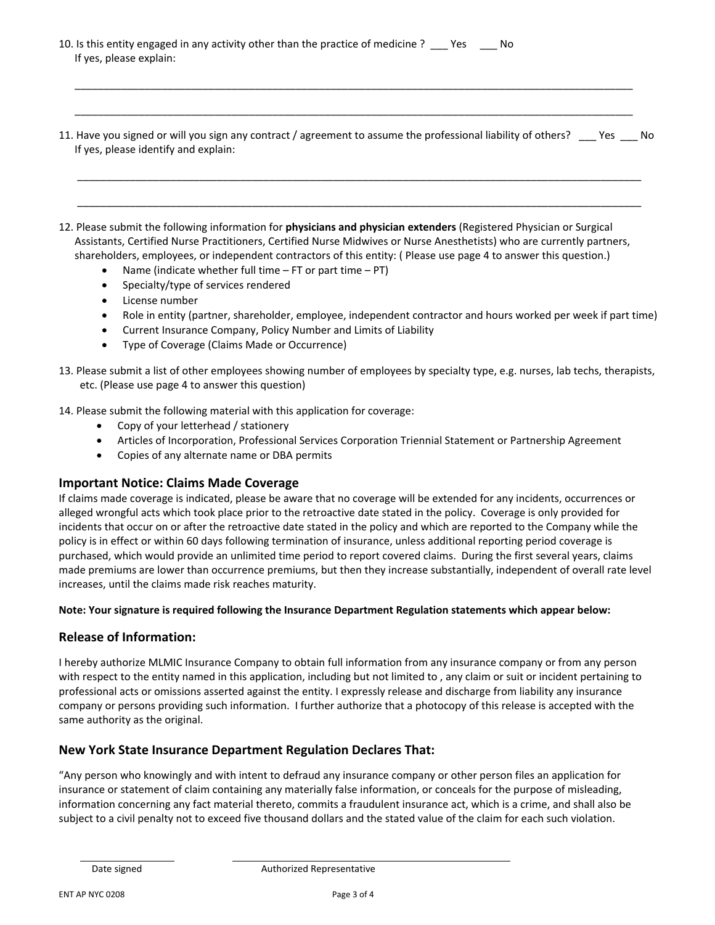- 10. Is this entity engaged in any activity other than the practice of medicine ? \_\_\_ Yes \_\_\_\_ No If yes, please explain:
- 11. Have you signed or will you sign any contract / agreement to assume the professional liability of others? \_\_\_ Yes \_\_\_ No If yes, please identify and explain:

 $\overline{\phantom{a}}$  , and the contribution of the contribution of the contribution of the contribution of the contribution of the contribution of the contribution of the contribution of the contribution of the contribution of the

 $\overline{\phantom{a}}$  , and the contribution of the contribution of the contribution of the contribution of the contribution of the contribution of the contribution of the contribution of the contribution of the contribution of the

 $\overline{\phantom{a}}$  , and the contribution of the contribution of the contribution of the contribution of the contribution of the contribution of the contribution of the contribution of the contribution of the contribution of the

 $\overline{\phantom{a}}$  ,  $\overline{\phantom{a}}$  ,  $\overline{\phantom{a}}$  ,  $\overline{\phantom{a}}$  ,  $\overline{\phantom{a}}$  ,  $\overline{\phantom{a}}$  ,  $\overline{\phantom{a}}$  ,  $\overline{\phantom{a}}$  ,  $\overline{\phantom{a}}$  ,  $\overline{\phantom{a}}$  ,  $\overline{\phantom{a}}$  ,  $\overline{\phantom{a}}$  ,  $\overline{\phantom{a}}$  ,  $\overline{\phantom{a}}$  ,  $\overline{\phantom{a}}$  ,  $\overline{\phantom{a}}$ 

- 12. Please submit the following information for **physicians and physician extenders** (Registered Physician or Surgical Assistants, Certified Nurse Practitioners, Certified Nurse Midwives or Nurse Anesthetists) who are currently partners, shareholders, employees, or independent contractors of this entity: ( Please use page 4 to answer this question.)
	- Name (indicate whether full time  $-$  FT or part time  $-$  PT)
	- Specialty/type of services rendered
	- License number
	- Role in entity (partner, shareholder, employee, independent contractor and hours worked per week if part time)
	- Current Insurance Company, Policy Number and Limits of Liability
	- Type of Coverage (Claims Made or Occurrence)
- 13. Please submit a list of other employees showing number of employees by specialty type, e.g. nurses, lab techs, therapists, etc. (Please use page 4 to answer this question)
- 14. Please submit the following material with this application for coverage:
	- Copy of your letterhead / stationery
	- Articles of Incorporation, Professional Services Corporation Triennial Statement or Partnership Agreement
	- Copies of any alternate name or DBA permits

## **Important Notice: Claims Made Coverage**

If claims made coverage is indicated, please be aware that no coverage will be extended for any incidents, occurrences or alleged wrongful acts which took place prior to the retroactive date stated in the policy. Coverage is only provided for incidents that occur on or after the retroactive date stated in the policy and which are reported to the Company while the policy is in effect or within 60 days following termination of insurance, unless additional reporting period coverage is purchased, which would provide an unlimited time period to report covered claims. During the first several years, claims made premiums are lower than occurrence premiums, but then they increase substantially, independent of overall rate level increases, until the claims made risk reaches maturity.

## **Note: Your signature is required following the Insurance Department Regulation statements which appear below:**

# **Release of Information:**

I hereby authorize MLMIC Insurance Company to obtain full information from any insurance company or from any person with respect to the entity named in this application, including but not limited to , any claim or suit or incident pertaining to professional acts or omissions asserted against the entity. I expressly release and discharge from liability any insurance company or persons providing such information. I further authorize that a photocopy of this release is accepted with the same authority as the original.

# **New York State Insurance Department Regulation Declares That:**

"Any person who knowingly and with intent to defraud any insurance company or other person files an application for insurance or statement of claim containing any materially false information, or conceals for the purpose of misleading, information concerning any fact material thereto, commits a fraudulent insurance act, which is a crime, and shall also be subject to a civil penalty not to exceed five thousand dollars and the stated value of the claim for each such violation.

<u> 1986 - Andrea San Andrea San Andrea San Andrea San Andrea San Andrea San Andrea San Andrea San Andrea San A</u>